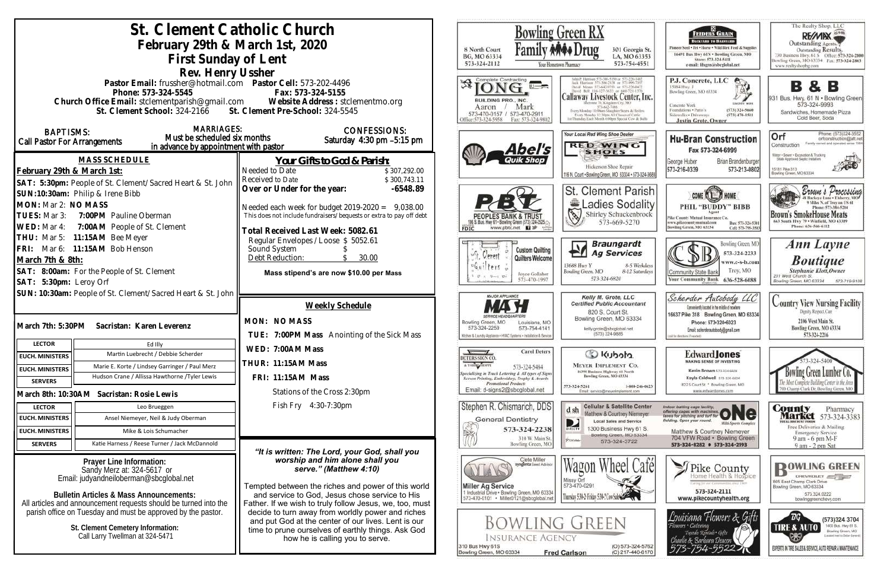|                                                                                       | St. Clement Catholic Church                                                                                            |                                                                                                                                                   |                                                                                                                                     | Bowling Green RX                                                                               |
|---------------------------------------------------------------------------------------|------------------------------------------------------------------------------------------------------------------------|---------------------------------------------------------------------------------------------------------------------------------------------------|-------------------------------------------------------------------------------------------------------------------------------------|------------------------------------------------------------------------------------------------|
|                                                                                       | February 29th & March 1st, 2020                                                                                        | 8 North Court                                                                                                                                     |                                                                                                                                     |                                                                                                |
|                                                                                       | First Sunday of Lent                                                                                                   |                                                                                                                                                   | BG, MO 63334                                                                                                                        | 301 Georgia St.<br>LA, MO 63353                                                                |
|                                                                                       | Rev. Henry Ussher                                                                                                      |                                                                                                                                                   | 573-324-2112                                                                                                                        | 573-754-4551<br>Your Hontetown Pharmacy                                                        |
|                                                                                       | Pastor Email: frussher@hotmail.com    Pastor Cell: 573-202-4496                                                        |                                                                                                                                                   | Complete Contracting                                                                                                                |                                                                                                |
|                                                                                       | Phone: 573-324-5545                                                                                                    | Fax: 573-324-5155                                                                                                                                 |                                                                                                                                     | Callaway Livestock Center, Inc.                                                                |
|                                                                                       |                                                                                                                        | Church Office Email: stclementparish@gmail.com Website Address : stclementmo.org<br>St. Clement School: 324-2166 St. Clement Pre-School: 324-5545 | BUILDING PRO., INC.<br>Mark<br>Aaron                                                                                                | nune 70, Kingdom City, MO<br>Every Manday 10:00am Staughter Steers & Heiler                    |
|                                                                                       |                                                                                                                        |                                                                                                                                                   | 573-470-0157 / 573-470-2911<br>Fax: 573-324-9802<br>ffice:573-324-5958                                                              | Every Monday 12:30nm All Classes of Cattle<br>ist Thursday Easty Month Arbbert Stevent Cow & B |
| <b>BAPTISMS:</b>                                                                      | <b>MARRIAGES:</b><br>Must be scheduled six months                                                                      | <b>CONFESSIONS:</b>                                                                                                                               |                                                                                                                                     | Your Local Red Wing Shoe Dealer                                                                |
| Call Pastor For Arrangements                                                          | in advance by appointment with pastor                                                                                  | Saturday 4:30 pm -5:15 pm                                                                                                                         | Abel's                                                                                                                              | <b>RED WING</b>                                                                                |
|                                                                                       | <b>MASS SCHEDULE</b>                                                                                                   | <u>Your Gifts to God &amp; Parish:</u>                                                                                                            |                                                                                                                                     | <b>SHOES</b>                                                                                   |
| February 29th & March 1st:                                                            |                                                                                                                        | Needed to Date<br>\$307,292.00                                                                                                                    |                                                                                                                                     | Hickerson Shoe Repair<br>116 N. Court . Bowling Green, MO 63334 - 573-324-368                  |
|                                                                                       | SAT: 5:30pm: People of St. Clement/Sacred Heart & St. John                                                             | Received to Date<br>\$300,743.11<br>Over or Under for the year:<br>-6548.89                                                                       |                                                                                                                                     |                                                                                                |
|                                                                                       | SUN:10:30am: Philip & Irene Bibb                                                                                       |                                                                                                                                                   |                                                                                                                                     | <b>St. Clement Parish</b>                                                                      |
| MON: Mar 2: NO MASS<br>TUES: Mar 3: 7:00PM Pauline Oberman                            |                                                                                                                        | Needed each week for budget $2019-2020 = 9,038.00$<br>This does not include fundraisers/bequests or extra to pay off debt                         |                                                                                                                                     | Ladies Sodality<br>$\mathscr{E}$<br>Shirley Schuckenbrock                                      |
| WED: Mar 4: 7:00AM People of St. Clement                                              |                                                                                                                        |                                                                                                                                                   | www.pbtc.net <b>Q</b><br>FDIC                                                                                                       | 573-669-5270                                                                                   |
| THU: Mar 5: 11:15AM Bee Meyer                                                         |                                                                                                                        | Total Received Last Week: 5082.61<br>Regular Envelopes / Loose \$ 5052.61                                                                         |                                                                                                                                     |                                                                                                |
| FRI: Mar 6: 11:15AM Bob Henson                                                        |                                                                                                                        | Sound System                                                                                                                                      | <b>Custom Quilting</b><br>Gerent                                                                                                    | <b>Braungardt</b><br><b>Ag Services</b><br>FИ                                                  |
| March 7th & 8th:                                                                      |                                                                                                                        | Debt Reduction:<br>30.00                                                                                                                          | Quilters Welcome<br>$f$ $g$ $f$ $s$                                                                                                 | 8-5 Weekdays<br>13688 Hwy Y                                                                    |
| SAT: 8:00am: For the People of St. Clement                                            |                                                                                                                        | Mass stipend's are now \$10.00 per Mass                                                                                                           | Joyce Gollaher<br>573-470-1997                                                                                                      | Bowling Green, MO<br>8-12 Saturdays<br>573-324-6820                                            |
| SAT: 5:30pm: Leroy Orf<br>SUN: 10:30am: People of St. Clement/Sacred Heart & St. John |                                                                                                                        |                                                                                                                                                   |                                                                                                                                     |                                                                                                |
|                                                                                       |                                                                                                                        | Weekly Schedule                                                                                                                                   | <b>MAJOR APPLIANCE</b>                                                                                                              | Kelly M. Grote, LLC<br><b>Certified Public Accountant</b>                                      |
|                                                                                       |                                                                                                                        | MON: NO MASS                                                                                                                                      |                                                                                                                                     | 820 S. Court St.<br>Bowling Green, MO 63334                                                    |
| March 7th: 5:30PM<br>Sacristan: Karen Leverenz                                        |                                                                                                                        |                                                                                                                                                   | Bowling Green, MO<br>Louisiana, MO<br>573-324-2259<br>573-754-4141                                                                  | kelly.grote@sbcglobal.net<br>(573) 324-9885                                                    |
| <b>LECTOR</b>                                                                         | Ed Illy                                                                                                                | TUE: 7:00PM Mass Anointing of the Sick Mass                                                                                                       | Kitchen & Laundry Appliance . HVAC Systems . Installation & Service                                                                 |                                                                                                |
| <b>EUCH. MINISTERS</b>                                                                | Martin Luebrecht / Debbie Scherder                                                                                     | WED: 7:00AM Mass                                                                                                                                  | <b>Carol Deters</b><br>DETERS SIGN CO                                                                                               | C Kubota                                                                                       |
| <b>EUCH. MINISTERS</b>                                                                | Marie E. Korte / Lindsey Garringer / Paul Merz                                                                         | THUR: 11:15AM Mass                                                                                                                                | A T-SBIRT SHOPPE<br>573-324-5484                                                                                                    | <b>MEYER IMPLEMENT CO.</b><br>16398 Business Highway 61 North                                  |
| <b>SERVERS</b>                                                                        | Hudson Crane / Allissa Hawthorne / Tyler Lewis                                                                         | FRI: 11:15AM Mass                                                                                                                                 | Specializing in Truck Lettering & All types of Signs<br>Screen Printing, Embroidery, Trophy & Awards<br><b>Promotional Products</b> | Bowling Green, MO 63334<br>573-324-5261<br>1-800-246-0623                                      |
|                                                                                       | March 8th: 10:30AM Sacristan: Rosie Lewis                                                                              | Stations of the Cross 2:30pm                                                                                                                      | Email: d-signs2@sbcglobal.net                                                                                                       | Email: service@meyerimplement.com                                                              |
| <b>LECTOR</b>                                                                         | Leo Brueggen                                                                                                           | Fish Fry 4:30-7:30pm                                                                                                                              | Stephen R. Chismarich, DDS                                                                                                          | <b>Cellular &amp; Satellite Center</b><br>d sh                                                 |
| <b>EUCH. MINISTERS</b>                                                                | Ansel Niemeyer, Neil & Judy Oberman                                                                                    |                                                                                                                                                   | <b>General Dentistry</b>                                                                                                            | Matthew & Courtney Niemeyer<br><b>Local Sales and Service</b><br>D                             |
| <b>EUCH. MINISTERS</b>                                                                | Mike & Lois Schumacher                                                                                                 |                                                                                                                                                   | 573-324-2238<br>字<br>310 W. Main St.                                                                                                | 1300 Business Hwy 61 S.<br>DIRECTY<br>Bowling Green, MO 63334                                  |
| <b>SERVERS</b>                                                                        | Katie Harness / Reese Turner / Jack McDannold                                                                          | "It is written: The Lord, your God, shall you                                                                                                     | Bowling Green, MO                                                                                                                   | PUIDBE<br>573-324-3722                                                                         |
| Prayer Line Information:                                                              |                                                                                                                        | worship and him alone shall you                                                                                                                   | Clete Miller<br>syngenta Seed Advisor                                                                                               |                                                                                                |
|                                                                                       | Sandy Merz at: 324-5617 or<br>Email: judyandneiloberman@sbcglobal.net                                                  | serve." (Matthew 4:10)                                                                                                                            |                                                                                                                                     | Café                                                                                           |
|                                                                                       |                                                                                                                        | Tempted between the riches and power of this world                                                                                                | <b>Miller Ag Service</b><br>1 Industrial Drive . Bowling Green, MO 63334                                                            | Missy Orf<br>573-470-0291                                                                      |
|                                                                                       | <b>Bulletin Articles &amp; Mass Announcements:</b><br>All articles and announcement requests should be turned into the | and service to God, Jesus chose service to His<br>Father. If we wish to truly follow Jesus, we, too, must                                         | 573-470-0101 · Miller0121@sbcglobal.net                                                                                             | Thursday 5:34-2-Friday 5:34-7 Cow Sales                                                        |
|                                                                                       | parish office on Tuesday and must be approved by the pastor.                                                           | decide to turn away from worldly power and riches                                                                                                 |                                                                                                                                     |                                                                                                |
|                                                                                       | St. Clement Cemetery Information:                                                                                      | BOWLING GREEN<br>and put God at the center of our lives. Lent is our<br>time to prune ourselves of earthly things. Ask God                        |                                                                                                                                     |                                                                                                |
| Call Larry Twellman at 324-5471                                                       |                                                                                                                        | how he is calling you to serve.                                                                                                                   | <b>INSURANCE AGENCY</b>                                                                                                             |                                                                                                |
|                                                                                       |                                                                                                                        |                                                                                                                                                   | 310 Bus Hwy 61S<br>Bowling Green, MO 63334                                                                                          | (O) 573-324-5762<br><b>Fred Carlson</b><br>(C) 217-440-6170                                    |